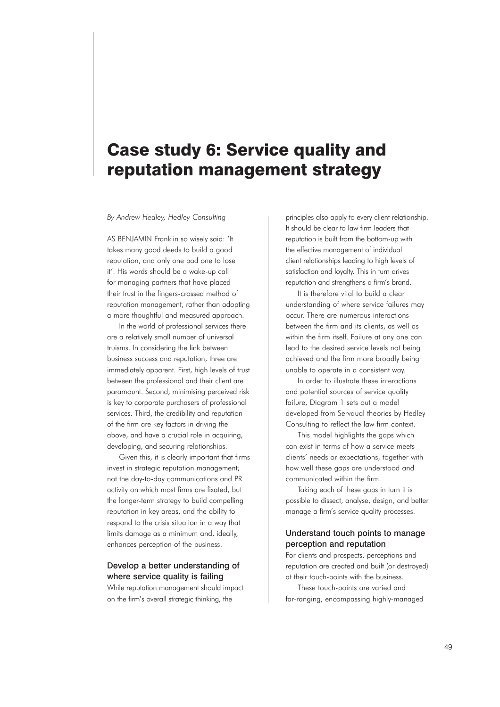# Case study 6: Service quality and reputation management strategy

### *By Andrew Hedley, Hedley Consulting*

AS BENJAMIN Franklin so wisely said: 'It takes many good deeds to build a good reputation, and only one bad one to lose it'. His words should be a wake-up call for managing partners that have placed their trust in the fingers-crossed method of reputation management, rather than adopting a more thoughtful and measured approach.

In the world of professional services there are a relatively small number of universal truisms. In considering the link between business success and reputation, three are immediately apparent. First, high levels of trust between the professional and their client are paramount. Second, minimising perceived risk is key to corporate purchasers of professional services. Third, the credibility and reputation of the firm are key factors in driving the above, and have a crucial role in acquiring, developing, and securing relationships.

Given this, it is clearly important that firms invest in strategic reputation management; not the day-to-day communications and PR activity on which most firms are fixated, but the longer-term strategy to build compelling reputation in key areas, and the ability to respond to the crisis situation in a way that limits damage as a minimum and, ideally, enhances perception of the business.

## Develop a better understanding of where service quality is failing

While reputation management should impact on the firmís overall strategic thinking, the

principles also apply to every client relationship. It should be clear to law firm leaders that reputation is built from the bottom-up with the effective management of individual client relationships leading to high levels of satisfaction and loyalty. This in turn drives reputation and strengthens a firmís brand.

It is therefore vital to build a clear understanding of where service failures may occur. There are numerous interactions between the firm and its clients, as well as within the firm itself. Failure at any one can lead to the desired service levels not being achieved and the firm more broadly being unable to operate in a consistent way.

In order to illustrate these interactions and potential sources of service quality failure, Diagram 1 sets out a model developed from Servqual theories by Hedley Consulting to reflect the law firm context.

This model highlights the gaps which can exist in terms of how a service meets clients' needs or expectations, together with how well these gaps are understood and communicated within the firm.

Taking each of these gaps in turn it is possible to dissect, analyse, design, and better manage a firm's service quality processes.

### Understand touch points to manage perception and reputation

For clients and prospects, perceptions and reputation are created and built (or destroyed) at their touch-points with the business.

These touch-points are varied and far-ranging, encompassing highly-managed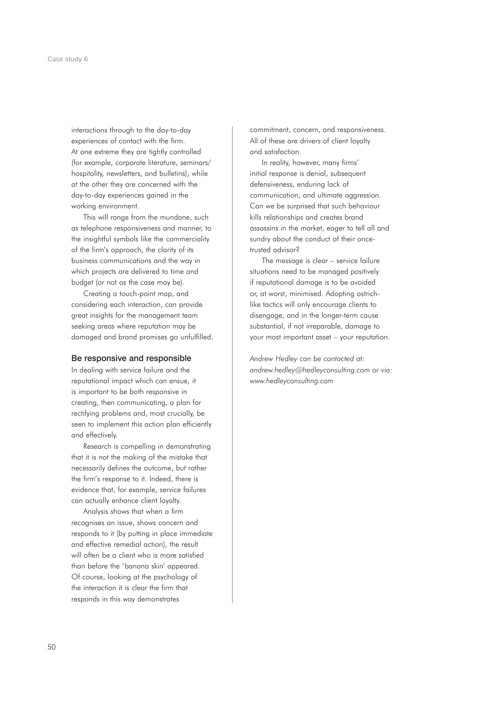interactions through to the day-to-day experiences of contact with the firm. At one extreme they are tightly controlled (for example, corporate literature, seminars/ hospitality, newsletters, and bulletins), while at the other they are concerned with the day-to-day experiences gained in the working environment.

This will range from the mundane, such as telephone responsiveness and manner, to the insightful symbols like the commerciality of the firmís approach, the clarity of its business communications and the way in which projects are delivered to time and budget (or not as the case may be).

Creating a touch-point map, and considering each interaction, can provide great insights for the management team seeking areas where reputation may be damaged and brand promises go unfulfilled.

### Be responsive and responsible

In dealing with service failure and the reputational impact which can ensue, it is important to be both responsive in creating, then communicating, a plan for rectifying problems and, most crucially, be seen to implement this action plan efficiently and effectively.

Research is compelling in demonstrating that it is not the making of the mistake that necessarily defines the outcome, but rather the firmís response to it. Indeed, there is evidence that, for example, service failures can actually enhance client loyalty.

Analysis shows that when a firm recognises an issue, shows concern and responds to it (by putting in place immediate and effective remedial action), the result will often be a client who is more satisfied than before the 'banana skin' appeared. Of course, looking at the psychology of the interaction it is clear the firm that responds in this way demonstrates

commitment, concern, and responsiveness. All of these are drivers of client loyalty and satisfaction.

In reality, however, many firms' initial response is denial, subsequent defensiveness, enduring lack of communication, and ultimate aggression. Can we be surprised that such behaviour kills relationships and creates brand assassins in the market, eager to tell all and sundry about the conduct of their oncetrusted advisor?

The message is clear  $-$  service failure situations need to be managed positively if reputational damage is to be avoided or, at worst, minimised. Adopting ostrichlike tactics will only encourage clients to disengage, and in the longer-term cause substantial, if not irreparable, damage to your most important asset – your reputation.

*Andrew Hedley can be contacted at: andrew.hedley@hedleyconsulting.com or via: www.hedleyconsulting.com*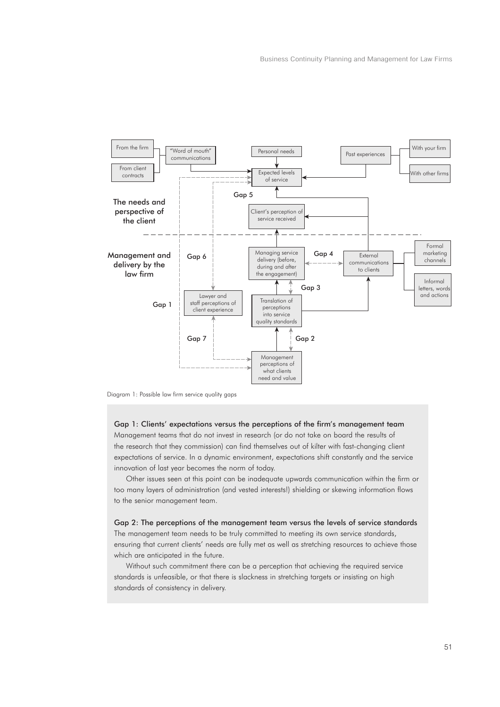

Diagram 1: Possible law firm service quality gaps

# Gap 1: Clients' expectations versus the perceptions of the firm's management team

Management teams that do not invest in research (or do not take on board the results of the research that they commission) can find themselves out of kilter with fast-changing client expectations of service. In a dynamic environment, expectations shift constantly and the service innovation of last year becomes the norm of today.

Other issues seen at this point can be inadequate upwards communication within the firm or too many layers of administration (and vested interests!) shielding or skewing information flows to the senior management team.

Gap 2: The perceptions of the management team versus the levels of service standards The management team needs to be truly committed to meeting its own service standards, ensuring that current clientsí needs are fully met as well as stretching resources to achieve those which are anticipated in the future.

Without such commitment there can be a perception that achieving the required service standards is unfeasible, or that there is slackness in stretching targets or insisting on high standards of consistency in delivery.